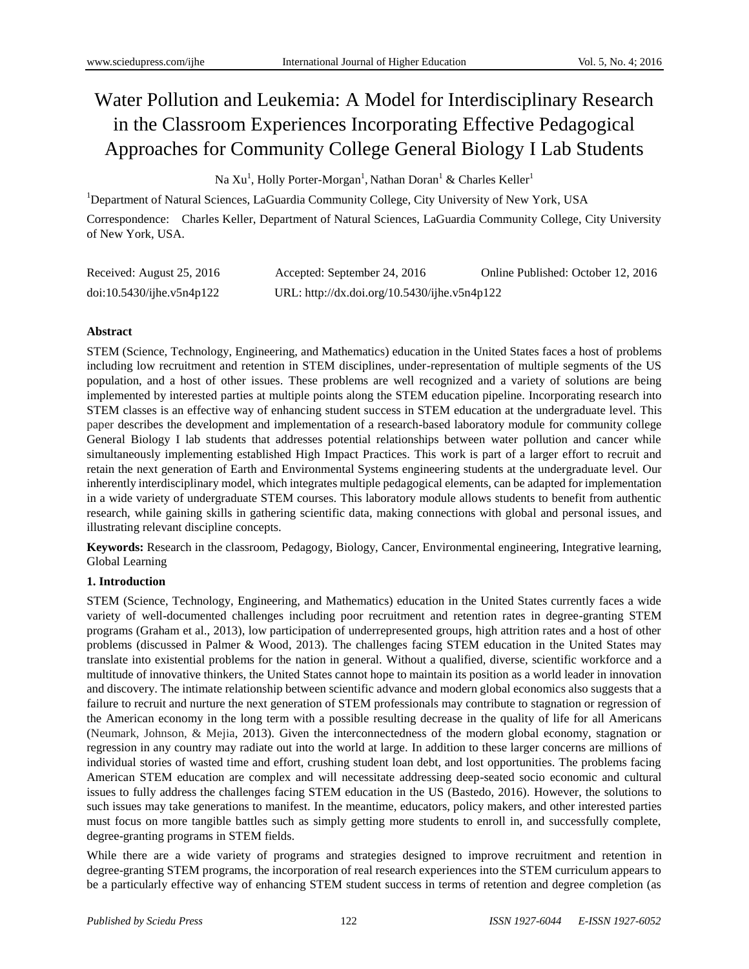# Water Pollution and Leukemia: A Model for Interdisciplinary Research in the Classroom Experiences Incorporating Effective Pedagogical Approaches for Community College General Biology I Lab Students

Na Xu<sup>1</sup>, Holly Porter-Morgan<sup>1</sup>, Nathan Doran<sup>1</sup> & Charles Keller<sup>1</sup>

<sup>1</sup>Department of Natural Sciences, LaGuardia Community College, City University of New York, USA

Correspondence: Charles Keller, Department of Natural Sciences, LaGuardia Community College, City University of New York, USA.

| Received: August 25, 2016 | Accepted: September 24, 2016                 | Online Published: October 12, 2016 |
|---------------------------|----------------------------------------------|------------------------------------|
| doi:10.5430/ijhe.v5n4p122 | URL: http://dx.doi.org/10.5430/ijhe.v5n4p122 |                                    |

## **Abstract**

STEM (Science, Technology, Engineering, and Mathematics) education in the United States faces a host of problems including low recruitment and retention in STEM disciplines, under-representation of multiple segments of the US population, and a host of other issues. These problems are well recognized and a variety of solutions are being implemented by interested parties at multiple points along the STEM education pipeline. Incorporating research into STEM classes is an effective way of enhancing student success in STEM education at the undergraduate level. This paper describes the development and implementation of a research-based laboratory module for community college General Biology I lab students that addresses potential relationships between water pollution and cancer while simultaneously implementing established High Impact Practices. This work is part of a larger effort to recruit and retain the next generation of Earth and Environmental Systems engineering students at the undergraduate level. Our inherently interdisciplinary model, which integrates multiple pedagogical elements, can be adapted for implementation in a wide variety of undergraduate STEM courses. This laboratory module allows students to benefit from authentic research, while gaining skills in gathering scientific data, making connections with global and personal issues, and illustrating relevant discipline concepts.

**Keywords:** Research in the classroom, Pedagogy, Biology, Cancer, Environmental engineering, Integrative learning, Global Learning

#### **1. Introduction**

STEM (Science, Technology, Engineering, and Mathematics) education in the United States currently faces a wide variety of well-documented challenges including poor recruitment and retention rates in degree-granting STEM programs (Graham et al., 2013), low participation of underrepresented groups, high attrition rates and a host of other problems (discussed in Palmer & Wood, 2013). The challenges facing STEM education in the United States may translate into existential problems for the nation in general. Without a qualified, diverse, scientific workforce and a multitude of innovative thinkers, the United States cannot hope to maintain its position as a world leader in innovation and discovery. The intimate relationship between scientific advance and modern global economics also suggests that a failure to recruit and nurture the next generation of STEM professionals may contribute to stagnation or regression of the American economy in the long term with a possible resulting decrease in the quality of life for all Americans (Neumark, Johnson, & Mejia, 2013). Given the interconnectedness of the modern global economy, stagnation or regression in any country may radiate out into the world at large. In addition to these larger concerns are millions of individual stories of wasted time and effort, crushing student loan debt, and lost opportunities. The problems facing American STEM education are complex and will necessitate addressing deep-seated socio economic and cultural issues to fully address the challenges facing STEM education in the US (Bastedo, 2016). However, the solutions to such issues may take generations to manifest. In the meantime, educators, policy makers, and other interested parties must focus on more tangible battles such as simply getting more students to enroll in, and successfully complete, degree-granting programs in STEM fields.

While there are a wide variety of programs and strategies designed to improve recruitment and retention in degree-granting STEM programs, the incorporation of real research experiences into the STEM curriculum appears to be a particularly effective way of enhancing STEM student success in terms of retention and degree completion (as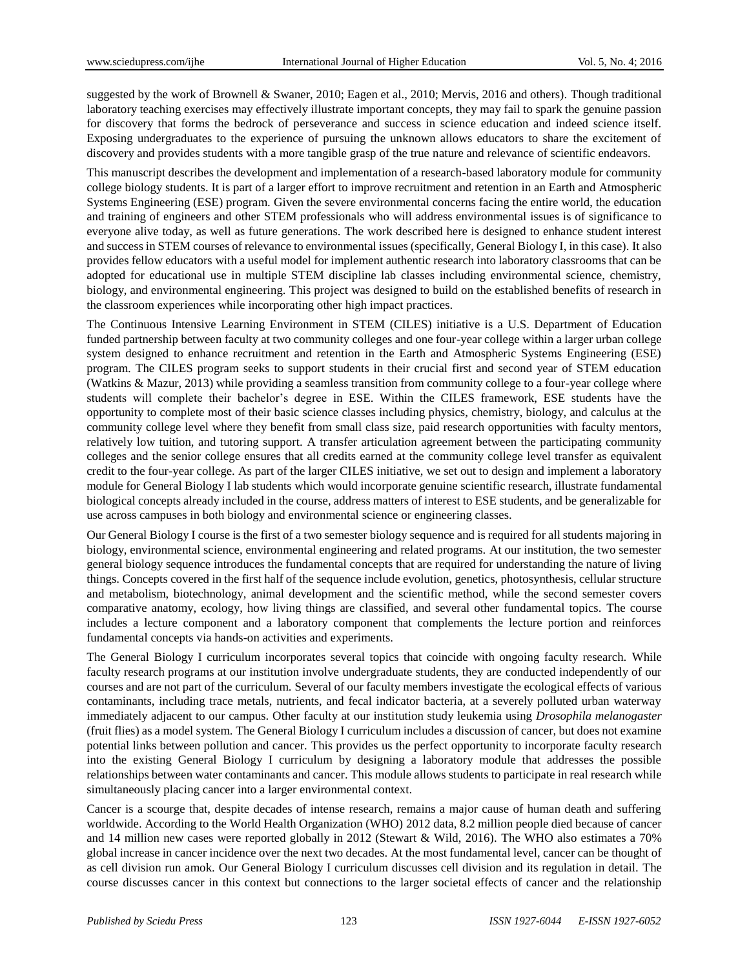suggested by the work of Brownell & Swaner, 2010; Eagen et al., 2010; Mervis, 2016 and others). Though traditional laboratory teaching exercises may effectively illustrate important concepts, they may fail to spark the genuine passion for discovery that forms the bedrock of perseverance and success in science education and indeed science itself. Exposing undergraduates to the experience of pursuing the unknown allows educators to share the excitement of discovery and provides students with a more tangible grasp of the true nature and relevance of scientific endeavors.

This manuscript describes the development and implementation of a research-based laboratory module for community college biology students. It is part of a larger effort to improve recruitment and retention in an Earth and Atmospheric Systems Engineering (ESE) program. Given the severe environmental concerns facing the entire world, the education and training of engineers and other STEM professionals who will address environmental issues is of significance to everyone alive today, as well as future generations. The work described here is designed to enhance student interest and success in STEM courses of relevance to environmental issues (specifically, General Biology I, in this case). It also provides fellow educators with a useful model for implement authentic research into laboratory classrooms that can be adopted for educational use in multiple STEM discipline lab classes including environmental science, chemistry, biology, and environmental engineering. This project was designed to build on the established benefits of research in the classroom experiences while incorporating other high impact practices.

The Continuous Intensive Learning Environment in STEM (CILES) initiative is a U.S. Department of Education funded partnership between faculty at two community colleges and one four-year college within a larger urban college system designed to enhance recruitment and retention in the Earth and Atmospheric Systems Engineering (ESE) program. The CILES program seeks to support students in their crucial first and second year of STEM education (Watkins & Mazur, 2013) while providing a seamless transition from community college to a four-year college where students will complete their bachelor's degree in ESE. Within the CILES framework, ESE students have the opportunity to complete most of their basic science classes including physics, chemistry, biology, and calculus at the community college level where they benefit from small class size, paid research opportunities with faculty mentors, relatively low tuition, and tutoring support. A transfer articulation agreement between the participating community colleges and the senior college ensures that all credits earned at the community college level transfer as equivalent credit to the four-year college. As part of the larger CILES initiative, we set out to design and implement a laboratory module for General Biology I lab students which would incorporate genuine scientific research, illustrate fundamental biological concepts already included in the course, address matters of interest to ESE students, and be generalizable for use across campuses in both biology and environmental science or engineering classes.

Our General Biology I course is the first of a two semester biology sequence and is required for all students majoring in biology, environmental science, environmental engineering and related programs. At our institution, the two semester general biology sequence introduces the fundamental concepts that are required for understanding the nature of living things. Concepts covered in the first half of the sequence include evolution, genetics, photosynthesis, cellular structure and metabolism, biotechnology, animal development and the scientific method, while the second semester covers comparative anatomy, ecology, how living things are classified, and several other fundamental topics. The course includes a lecture component and a laboratory component that complements the lecture portion and reinforces fundamental concepts via hands-on activities and experiments.

The General Biology I curriculum incorporates several topics that coincide with ongoing faculty research. While faculty research programs at our institution involve undergraduate students, they are conducted independently of our courses and are not part of the curriculum. Several of our faculty members investigate the ecological effects of various contaminants, including trace metals, nutrients, and fecal indicator bacteria, at a severely polluted urban waterway immediately adjacent to our campus. Other faculty at our institution study leukemia using *Drosophila melanogaster* (fruit flies) as a model system. The General Biology I curriculum includes a discussion of cancer, but does not examine potential links between pollution and cancer. This provides us the perfect opportunity to incorporate faculty research into the existing General Biology I curriculum by designing a laboratory module that addresses the possible relationships between water contaminants and cancer. This module allows students to participate in real research while simultaneously placing cancer into a larger environmental context.

Cancer is a scourge that, despite decades of intense research, remains a major cause of human death and suffering worldwide. According to the World Health Organization (WHO) 2012 data, 8.2 million people died because of cancer and 14 million new cases were reported globally in 2012 (Stewart & Wild, 2016). The WHO also estimates a 70% global increase in cancer incidence over the next two decades. At the most fundamental level, cancer can be thought of as cell division run amok. Our General Biology I curriculum discusses cell division and its regulation in detail. The course discusses cancer in this context but connections to the larger societal effects of cancer and the relationship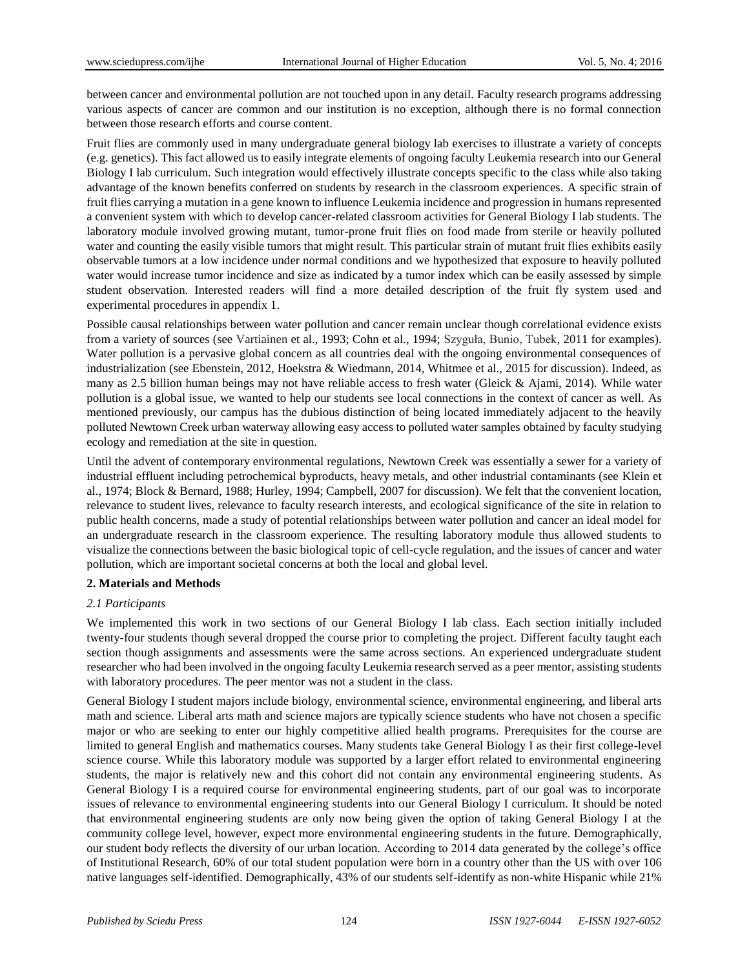between cancer and environmental pollution are not touched upon in any detail. Faculty research programs addressing various aspects of cancer are common and our institution is no exception, although there is no formal connection between those research efforts and course content.

Fruit flies are commonly used in many undergraduate general biology lab exercises to illustrate a variety of concepts (e.g. genetics). This fact allowed us to easily integrate elements of ongoing faculty Leukemia research into our General Biology I lab curriculum. Such integration would effectively illustrate concepts specific to the class while also taking advantage of the known benefits conferred on students by research in the classroom experiences. A specific strain of fruit flies carrying a mutation in a gene known to influence Leukemia incidence and progression in humans represented a convenient system with which to develop cancer-related classroom activities for General Biology I lab students. The laboratory module involved growing mutant, tumor-prone fruit flies on food made from sterile or heavily polluted water and counting the easily visible tumors that might result. This particular strain of mutant fruit flies exhibits easily observable tumors at a low incidence under normal conditions and we hypothesized that exposure to heavily polluted water would increase tumor incidence and size as indicated by a tumor index which can be easily assessed by simple student observation. Interested readers will find a more detailed description of the fruit fly system used and experimental procedures in appendix 1.

Possible causal relationships between water pollution and cancer remain unclear though correlational evidence exists from a variety of sources (see Vartiainen et al., 1993; Cohn et al., 1994; Szyguła, Bunio, Tubek, 2011 for examples). Water pollution is a pervasive global concern as all countries deal with the ongoing environmental consequences of industrialization (see Ebenstein, 2012, Hoekstra & Wiedmann, 2014, Whitmee et al., 2015 for discussion). Indeed, as many as 2.5 billion human beings may not have reliable access to fresh water (Gleick & Ajami, 2014). While water pollution is a global issue, we wanted to help our students see local connections in the context of cancer as well. As mentioned previously, our campus has the dubious distinction of being located immediately adjacent to the heavily polluted Newtown Creek urban waterway allowing easy access to polluted water samples obtained by faculty studying ecology and remediation at the site in question.

Until the advent of contemporary environmental regulations, Newtown Creek was essentially a sewer for a variety of industrial effluent including petrochemical byproducts, heavy metals, and other industrial contaminants (see Klein et al., 1974; Block & Bernard, 1988; Hurley, 1994; Campbell, 2007 for discussion). We felt that the convenient location, relevance to student lives, relevance to faculty research interests, and ecological significance of the site in relation to public health concerns, made a study of potential relationships between water pollution and cancer an ideal model for an undergraduate research in the classroom experience. The resulting laboratory module thus allowed students to visualize the connections between the basic biological topic of cell-cycle regulation, and the issues of cancer and water pollution, which are important societal concerns at both the local and global level.

#### **2. Materials and Methods**

## *2.1 Participants*

We implemented this work in two sections of our General Biology I lab class. Each section initially included twenty-four students though several dropped the course prior to completing the project. Different faculty taught each section though assignments and assessments were the same across sections. An experienced undergraduate student researcher who had been involved in the ongoing faculty Leukemia research served as a peer mentor, assisting students with laboratory procedures. The peer mentor was not a student in the class.

General Biology I student majors include biology, environmental science, environmental engineering, and liberal arts math and science. Liberal arts math and science majors are typically science students who have not chosen a specific major or who are seeking to enter our highly competitive allied health programs. Prerequisites for the course are limited to general English and mathematics courses. Many students take General Biology I as their first college-level science course. While this laboratory module was supported by a larger effort related to environmental engineering students, the major is relatively new and this cohort did not contain any environmental engineering students. As General Biology I is a required course for environmental engineering students, part of our goal was to incorporate issues of relevance to environmental engineering students into our General Biology I curriculum. It should be noted that environmental engineering students are only now being given the option of taking General Biology I at the community college level, however, expect more environmental engineering students in the future. Demographically, our student body reflects the diversity of our urban location. According to 2014 data generated by the college's office of Institutional Research, 60% of our total student population were born in a country other than the US with over 106 native languages self-identified. Demographically, 43% of our students self-identify as non-white Hispanic while 21%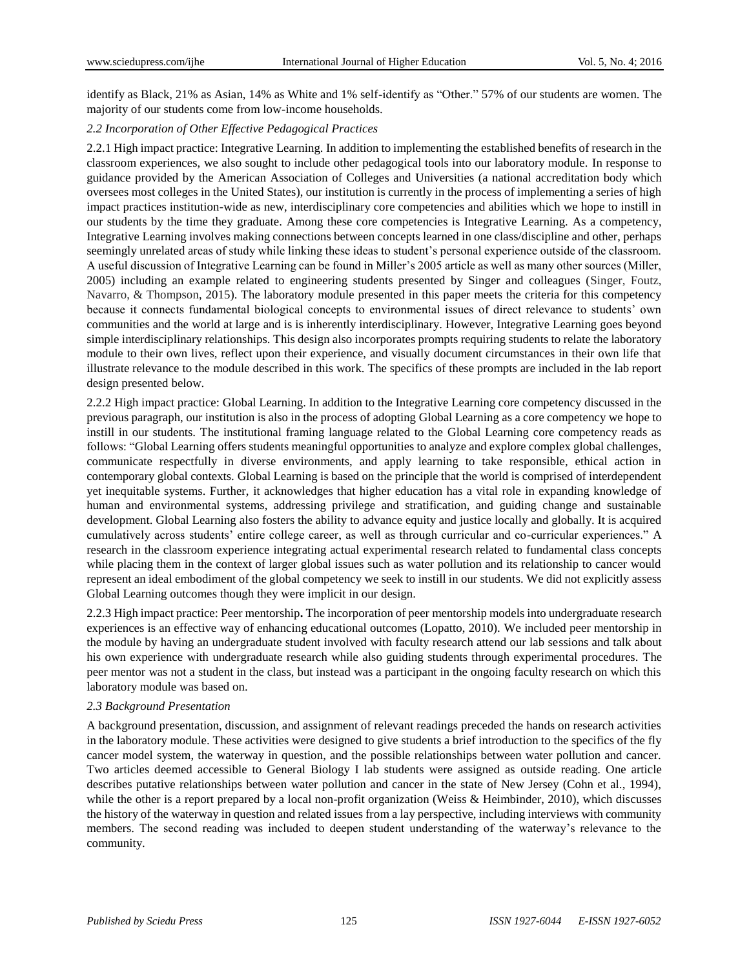identify as Black, 21% as Asian, 14% as White and 1% self-identify as "Other." 57% of our students are women. The majority of our students come from low-income households.

#### *2.2 Incorporation of Other Effective Pedagogical Practices*

2.2.1 High impact practice: Integrative Learning. In addition to implementing the established benefits of research in the classroom experiences, we also sought to include other pedagogical tools into our laboratory module. In response to guidance provided by the American Association of Colleges and Universities (a national accreditation body which oversees most colleges in the United States), our institution is currently in the process of implementing a series of high impact practices institution-wide as new, interdisciplinary core competencies and abilities which we hope to instill in our students by the time they graduate. Among these core competencies is Integrative Learning. As a competency, Integrative Learning involves making connections between concepts learned in one class/discipline and other, perhaps seemingly unrelated areas of study while linking these ideas to student's personal experience outside of the classroom. A useful discussion of Integrative Learning can be found in Miller's 2005 article as well as many other sources (Miller, 2005) including an example related to engineering students presented by Singer and colleagues (Singer, Foutz, Navarro, & Thompson, 2015). The laboratory module presented in this paper meets the criteria for this competency because it connects fundamental biological concepts to environmental issues of direct relevance to students' own communities and the world at large and is is inherently interdisciplinary. However, Integrative Learning goes beyond simple interdisciplinary relationships. This design also incorporates prompts requiring students to relate the laboratory module to their own lives, reflect upon their experience, and visually document circumstances in their own life that illustrate relevance to the module described in this work. The specifics of these prompts are included in the lab report design presented below.

2.2.2 High impact practice: Global Learning. In addition to the Integrative Learning core competency discussed in the previous paragraph, our institution is also in the process of adopting Global Learning as a core competency we hope to instill in our students. The institutional framing language related to the Global Learning core competency reads as follows: "Global Learning offers students meaningful opportunities to analyze and explore complex global challenges, communicate respectfully in diverse environments, and apply learning to take responsible, ethical action in contemporary global contexts. Global Learning is based on the principle that the world is comprised of interdependent yet inequitable systems. Further, it acknowledges that higher education has a vital role in expanding knowledge of human and environmental systems, addressing privilege and stratification, and guiding change and sustainable development. Global Learning also fosters the ability to advance equity and justice locally and globally. It is acquired cumulatively across students' entire college career, as well as through curricular and co-curricular experiences." A research in the classroom experience integrating actual experimental research related to fundamental class concepts while placing them in the context of larger global issues such as water pollution and its relationship to cancer would represent an ideal embodiment of the global competency we seek to instill in our students. We did not explicitly assess Global Learning outcomes though they were implicit in our design.

2.2.3 High impact practice: Peer mentorship**.** The incorporation of peer mentorship models into undergraduate research experiences is an effective way of enhancing educational outcomes (Lopatto, 2010). We included peer mentorship in the module by having an undergraduate student involved with faculty research attend our lab sessions and talk about his own experience with undergraduate research while also guiding students through experimental procedures. The peer mentor was not a student in the class, but instead was a participant in the ongoing faculty research on which this laboratory module was based on.

#### *2.3 Background Presentation*

A background presentation, discussion, and assignment of relevant readings preceded the hands on research activities in the laboratory module. These activities were designed to give students a brief introduction to the specifics of the fly cancer model system, the waterway in question, and the possible relationships between water pollution and cancer. Two articles deemed accessible to General Biology I lab students were assigned as outside reading. One article describes putative relationships between water pollution and cancer in the state of New Jersey (Cohn et al., 1994), while the other is a report prepared by a local non-profit organization (Weiss & Heimbinder, 2010), which discusses the history of the waterway in question and related issues from a lay perspective, including interviews with community members. The second reading was included to deepen student understanding of the waterway's relevance to the community.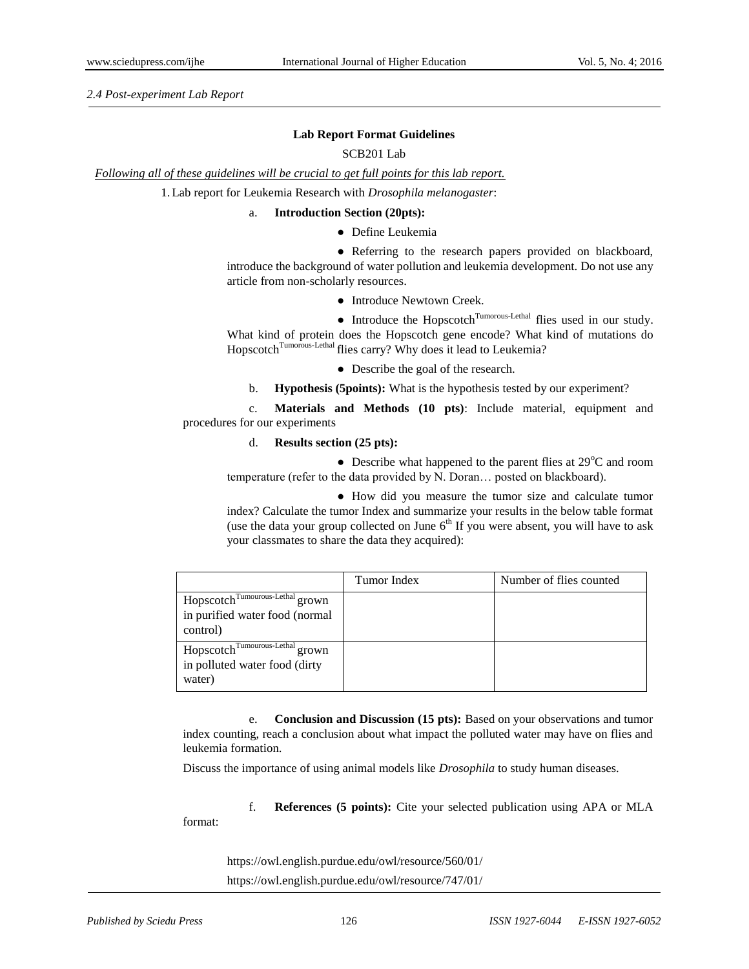*2.4 Post-experiment Lab Report*

#### **Lab Report Format Guidelines**

#### SCB201 Lab

*Following all of these guidelines will be crucial to get full points for this lab report.*

1.Lab report for Leukemia Research with *Drosophila melanogaster*:

a. **Introduction Section (20pts):** 

● Define Leukemia

● Referring to the research papers provided on blackboard, introduce the background of water pollution and leukemia development. Do not use any article from non-scholarly resources.

• Introduce Newtown Creek.

 $\bullet$  Introduce the Hopscotch<sup>Tumorous-Lethal</sup> flies used in our study. What kind of protein does the Hopscotch gene encode? What kind of mutations do Hopscotch<sup>Tumorous-Lethal</sup> flies carry? Why does it lead to Leukemia?

• Describe the goal of the research.

b. **Hypothesis (5points):** What is the hypothesis tested by our experiment?

c. **Materials and Methods (10 pts)**: Include material, equipment and procedures for our experiments

d. **Results section (25 pts):**

• Describe what happened to the parent flies at  $29^{\circ}$ C and room temperature (refer to the data provided by N. Doran… posted on blackboard).

● How did you measure the tumor size and calculate tumor index? Calculate the tumor Index and summarize your results in the below table format (use the data your group collected on June  $6<sup>th</sup>$  If you were absent, you will have to ask your classmates to share the data they acquired):

|                                                                                           | Tumor Index | Number of flies counted |
|-------------------------------------------------------------------------------------------|-------------|-------------------------|
| Hopscotch <sup>Tumourous-Lethal</sup> grown<br>in purified water food (normal<br>control) |             |                         |
| Hopscotch <sup>Tumourous-Lethal</sup> grown<br>in polluted water food (dirty)<br>water)   |             |                         |

e. **Conclusion and Discussion (15 pts):** Based on your observations and tumor index counting, reach a conclusion about what impact the polluted water may have on flies and leukemia formation.

Discuss the importance of using animal models like *Drosophila* to study human diseases.

f. **References (5 points):** Cite your selected publication using APA or MLA

<https://owl.english.purdue.edu/owl/resource/560/01/> <https://owl.english.purdue.edu/owl/resource/747/01/>

format: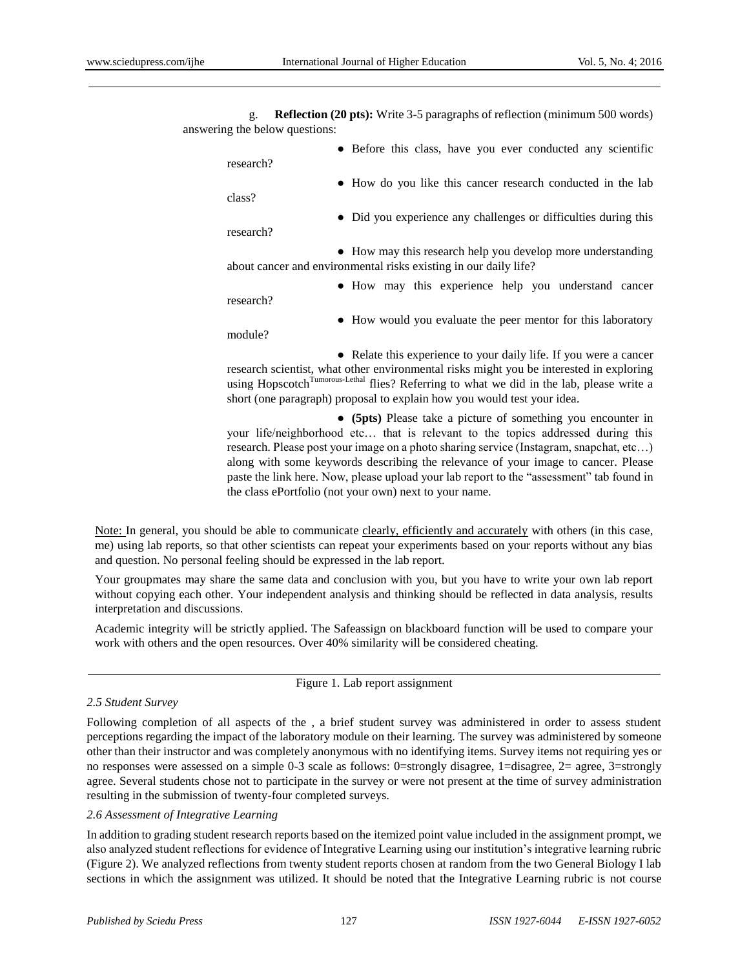g. **Reflection (20 pts):** Write 3-5 paragraphs of reflection (minimum 500 words) answering the below questions:

|           | • Before this class, have you ever conducted any scientific                                                                                                                                                                                                                 |
|-----------|-----------------------------------------------------------------------------------------------------------------------------------------------------------------------------------------------------------------------------------------------------------------------------|
| research? |                                                                                                                                                                                                                                                                             |
|           | • How do you like this cancer research conducted in the lab                                                                                                                                                                                                                 |
| class?    |                                                                                                                                                                                                                                                                             |
|           | • Did you experience any challenges or difficulties during this                                                                                                                                                                                                             |
| research? |                                                                                                                                                                                                                                                                             |
|           | • How may this research help you develop more understanding                                                                                                                                                                                                                 |
|           | about cancer and environmental risks existing in our daily life?                                                                                                                                                                                                            |
|           | • How may this experience help you understand cancer                                                                                                                                                                                                                        |
| research? |                                                                                                                                                                                                                                                                             |
|           | • How would you evaluate the peer mentor for this laboratory                                                                                                                                                                                                                |
| module?   |                                                                                                                                                                                                                                                                             |
|           | • Relate this experience to your daily life. If you were a cancer                                                                                                                                                                                                           |
|           | research scientist, what other environmental risks might you be interested in exploring<br>using Hopscotch <sup>Tumorous-Lethal</sup> flies? Referring to what we did in the lab, please write a<br>short (one paragraph) proposal to explain how you would test your idea. |

● **(5pts)** Please take a picture of something you encounter in your life/neighborhood etc… that is relevant to the topics addressed during this research. Please post your image on a photo sharing service (Instagram, snapchat, etc…) along with some keywords describing the relevance of your image to cancer. Please paste the link here. Now, please upload your lab report to the "assessment" tab found in the class ePortfolio (not your own) next to your name.

Note: In general, you should be able to communicate clearly, efficiently and accurately with others (in this case, me) using lab reports, so that other scientists can repeat your experiments based on your reports without any bias and question. No personal feeling should be expressed in the lab report.

Your groupmates may share the same data and conclusion with you, but you have to write your own lab report without copying each other. Your independent analysis and thinking should be reflected in data analysis, results interpretation and discussions.

Academic integrity will be strictly applied. The Safeassign on blackboard function will be used to compare your work with others and the open resources. Over 40% similarity will be considered cheating.

Figure 1. Lab report assignment

#### *2.5 Student Survey*

#### *2.6 Assessment of Integrative Learning*

In addition to grading student research reports based on the itemized point value included in the assignment prompt, we also analyzed student reflections for evidence of Integrative Learning using our institution's integrative learning rubric (Figure 2). We analyzed reflections from twenty student reports chosen at random from the two General Biology I lab sections in which the assignment was utilized. It should be noted that the Integrative Learning rubric is not course

Following completion of all aspects of the , a brief student survey was administered in order to assess student perceptions regarding the impact of the laboratory module on their learning. The survey was administered by someone other than their instructor and was completely anonymous with no identifying items. Survey items not requiring yes or no responses were assessed on a simple 0-3 scale as follows: 0=strongly disagree, 1=disagree, 2= agree, 3=strongly agree. Several students chose not to participate in the survey or were not present at the time of survey administration resulting in the submission of twenty-four completed surveys.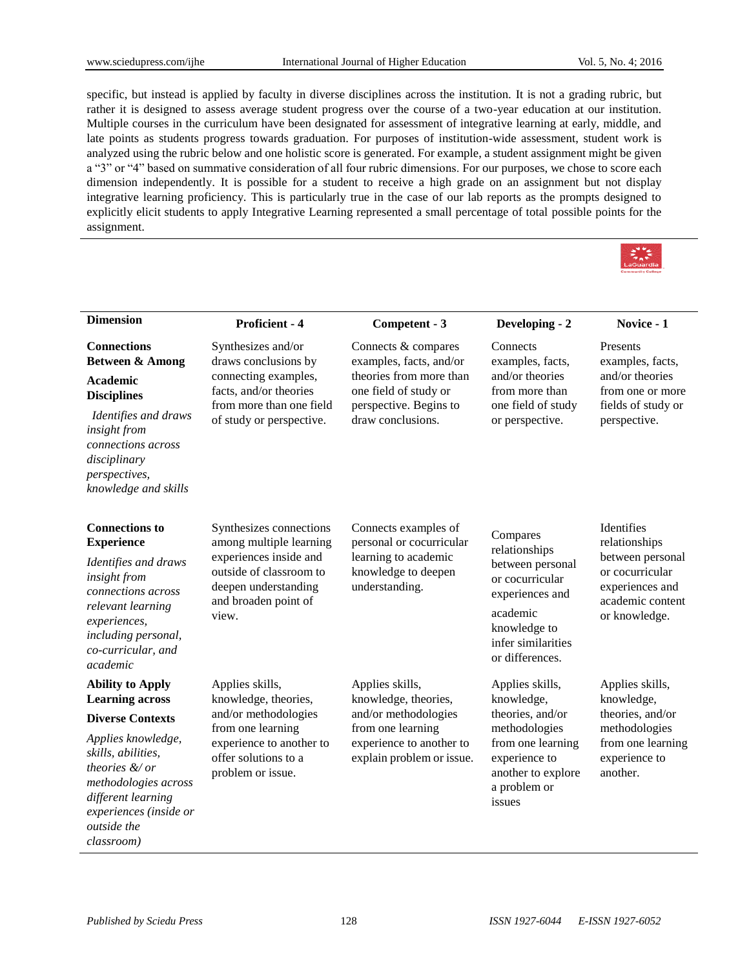specific, but instead is applied by faculty in diverse disciplines across the institution. It is not a grading rubric, but rather it is designed to assess average student progress over the course of a two-year education at our institution. Multiple courses in the curriculum have been designated for assessment of integrative learning at early, middle, and late points as students progress towards graduation. For purposes of institution-wide assessment, student work is analyzed using the rubric below and one holistic score is generated. For example, a student assignment might be given a "3" or "4" based on summative consideration of all four rubric dimensions. For our purposes, we chose to score each dimension independently. It is possible for a student to receive a high grade on an assignment but not display integrative learning proficiency. This is particularly true in the case of our lab reports as the prompts designed to explicitly elicit students to apply Integrative Learning represented a small percentage of total possible points for the assignment.



| <b>Dimension</b>                                                                                                                                                                                                                                 | <b>Proficient - 4</b>                                                                                                                                            | Competent - 3                                                                                                                                     | Developing - 2                                                                                                                                           | Novice - 1                                                                                                                 |
|--------------------------------------------------------------------------------------------------------------------------------------------------------------------------------------------------------------------------------------------------|------------------------------------------------------------------------------------------------------------------------------------------------------------------|---------------------------------------------------------------------------------------------------------------------------------------------------|----------------------------------------------------------------------------------------------------------------------------------------------------------|----------------------------------------------------------------------------------------------------------------------------|
| <b>Connections</b><br>Between & Among<br><b>Academic</b><br><b>Disciplines</b><br>Identifies and draws<br>insight from<br>connections across<br>disciplinary<br>perspectives,<br>knowledge and skills                                            | Synthesizes and/or<br>draws conclusions by<br>connecting examples,<br>facts, and/or theories<br>from more than one field<br>of study or perspective.             | Connects & compares<br>examples, facts, and/or<br>theories from more than<br>one field of study or<br>perspective. Begins to<br>draw conclusions. | Connects<br>examples, facts,<br>and/or theories<br>from more than<br>one field of study<br>or perspective.                                               | Presents<br>examples, facts,<br>and/or theories<br>from one or more<br>fields of study or<br>perspective.                  |
| <b>Connections to</b><br><b>Experience</b><br>Identifies and draws<br>insight from<br>connections across<br>relevant learning<br>experiences,<br>including personal,<br>co-curricular, and<br>academic                                           | Synthesizes connections<br>among multiple learning<br>experiences inside and<br>outside of classroom to<br>deepen understanding<br>and broaden point of<br>view. | Connects examples of<br>personal or cocurricular<br>learning to academic<br>knowledge to deepen<br>understanding.                                 | Compares<br>relationships<br>between personal<br>or cocurricular<br>experiences and<br>academic<br>knowledge to<br>infer similarities<br>or differences. | Identifies<br>relationships<br>between personal<br>or cocurricular<br>experiences and<br>academic content<br>or knowledge. |
| <b>Ability to Apply</b><br><b>Learning across</b><br><b>Diverse Contexts</b><br>Applies knowledge,<br>skills, abilities,<br>theories $&$ or<br>methodologies across<br>different learning<br>experiences (inside or<br>outside the<br>classroom) | Applies skills,<br>knowledge, theories,<br>and/or methodologies<br>from one learning<br>experience to another to<br>offer solutions to a<br>problem or issue.    | Applies skills,<br>knowledge, theories,<br>and/or methodologies<br>from one learning<br>experience to another to<br>explain problem or issue.     | Applies skills,<br>knowledge,<br>theories, and/or<br>methodologies<br>from one learning<br>experience to<br>another to explore<br>a problem or<br>issues | Applies skills,<br>knowledge,<br>theories, and/or<br>methodologies<br>from one learning<br>experience to<br>another.       |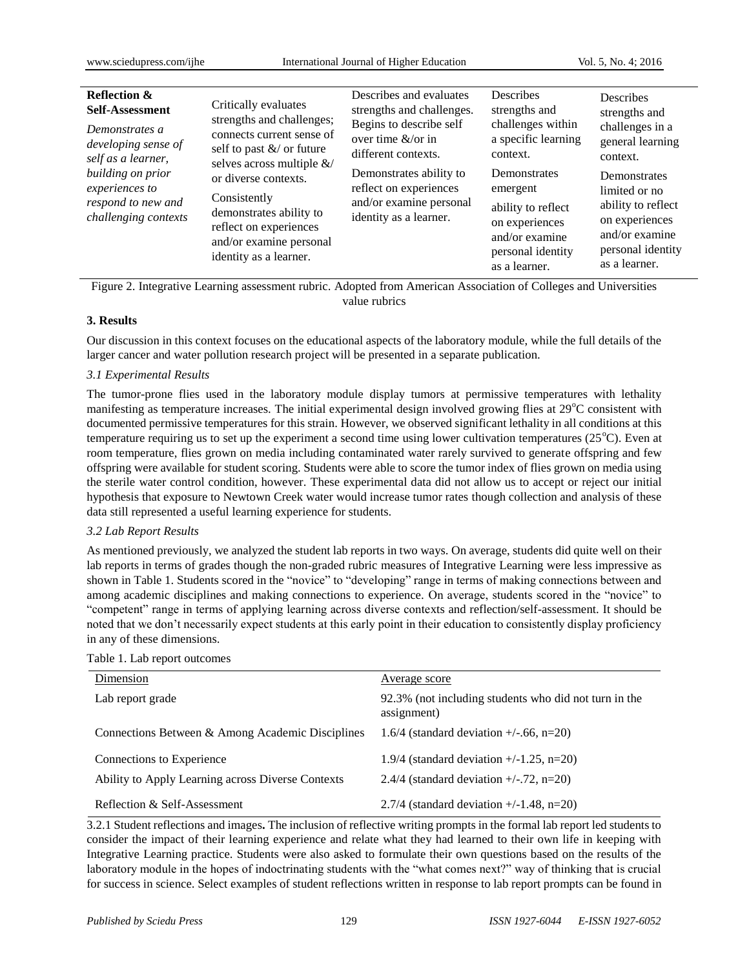www.sciedupress.com/ijhe International Journal of Higher Education Vol. 5, No. 4; 2016

| <b>Reflection &amp;</b><br><b>Self-Assessment</b><br>Demonstrates a<br>developing sense of<br>self as a learner,                                                                                                                                                 | Critically evaluates<br>strengths and challenges;<br>connects current sense of<br>self to past $\&/$ or future | Describes and evaluates<br>strengths and challenges.<br>Begins to describe self<br>over time $&\sqrt{or}$ in<br>different contexts. | <b>Describes</b><br>strengths and<br>challenges within<br>a specific learning<br>context.                                     | <b>Describes</b><br>strengths and<br>challenges in a<br>general learning<br>context. |
|------------------------------------------------------------------------------------------------------------------------------------------------------------------------------------------------------------------------------------------------------------------|----------------------------------------------------------------------------------------------------------------|-------------------------------------------------------------------------------------------------------------------------------------|-------------------------------------------------------------------------------------------------------------------------------|--------------------------------------------------------------------------------------|
| selves across multiple &/<br>building on prior<br>or diverse contexts.<br>experiences to<br>Consistently<br>respond to new and<br>demonstrates ability to<br>challenging contexts<br>reflect on experiences<br>and/or examine personal<br>identity as a learner. | Demonstrates ability to<br>reflect on experiences<br>and/or examine personal<br>identity as a learner.         | Demonstrates<br>emergent<br>ability to reflect<br>on experiences<br>and/or examine<br>personal identity<br>as a learner.            | Demonstrates<br>limited or no<br>ability to reflect<br>on experiences<br>and/or examine<br>personal identity<br>as a learner. |                                                                                      |

Figure 2. Integrative Learning assessment rubric. Adopted from American Association of Colleges and Universities value rubrics

## **3. Results**

Our discussion in this context focuses on the educational aspects of the laboratory module, while the full details of the larger cancer and water pollution research project will be presented in a separate publication.

## *3.1 Experimental Results*

The tumor-prone flies used in the laboratory module display tumors at permissive temperatures with lethality manifesting as temperature increases. The initial experimental design involved growing flies at  $29^{\circ}$ C consistent with documented permissive temperatures for this strain. However, we observed significant lethality in all conditions at this temperature requiring us to set up the experiment a second time using lower cultivation temperatures ( $25^{\circ}$ C). Even at room temperature, flies grown on media including contaminated water rarely survived to generate offspring and few offspring were available for student scoring. Students were able to score the tumor index of flies grown on media using the sterile water control condition, however. These experimental data did not allow us to accept or reject our initial hypothesis that exposure to Newtown Creek water would increase tumor rates though collection and analysis of these data still represented a useful learning experience for students.

#### *3.2 Lab Report Results*

As mentioned previously, we analyzed the student lab reports in two ways. On average, students did quite well on their lab reports in terms of grades though the non-graded rubric measures of Integrative Learning were less impressive as shown in Table 1. Students scored in the "novice" to "developing" range in terms of making connections between and among academic disciplines and making connections to experience. On average, students scored in the "novice" to "competent" range in terms of applying learning across diverse contexts and reflection/self-assessment. It should be noted that we don't necessarily expect students at this early point in their education to consistently display proficiency in any of these dimensions.

| Dimension                                         | Average score                                                        |
|---------------------------------------------------|----------------------------------------------------------------------|
| Lab report grade                                  | 92.3% (not including students who did not turn in the<br>assignment) |
| Connections Between & Among Academic Disciplines  | 1.6/4 (standard deviation $+/-66$ , n=20)                            |
| Connections to Experience                         | 1.9/4 (standard deviation $+/-1.25$ , n=20)                          |
| Ability to Apply Learning across Diverse Contexts | 2.4/4 (standard deviation $+/-72$ , n=20)                            |
| Reflection & Self-Assessment                      | 2.7/4 (standard deviation $+/-1.48$ , n=20)                          |

Table 1. Lab report outcomes

3.2.1 Student reflections and images**.** The inclusion of reflective writing prompts in the formal lab report led students to consider the impact of their learning experience and relate what they had learned to their own life in keeping with Integrative Learning practice. Students were also asked to formulate their own questions based on the results of the laboratory module in the hopes of indoctrinating students with the "what comes next?" way of thinking that is crucial for success in science. Select examples of student reflections written in response to lab report prompts can be found in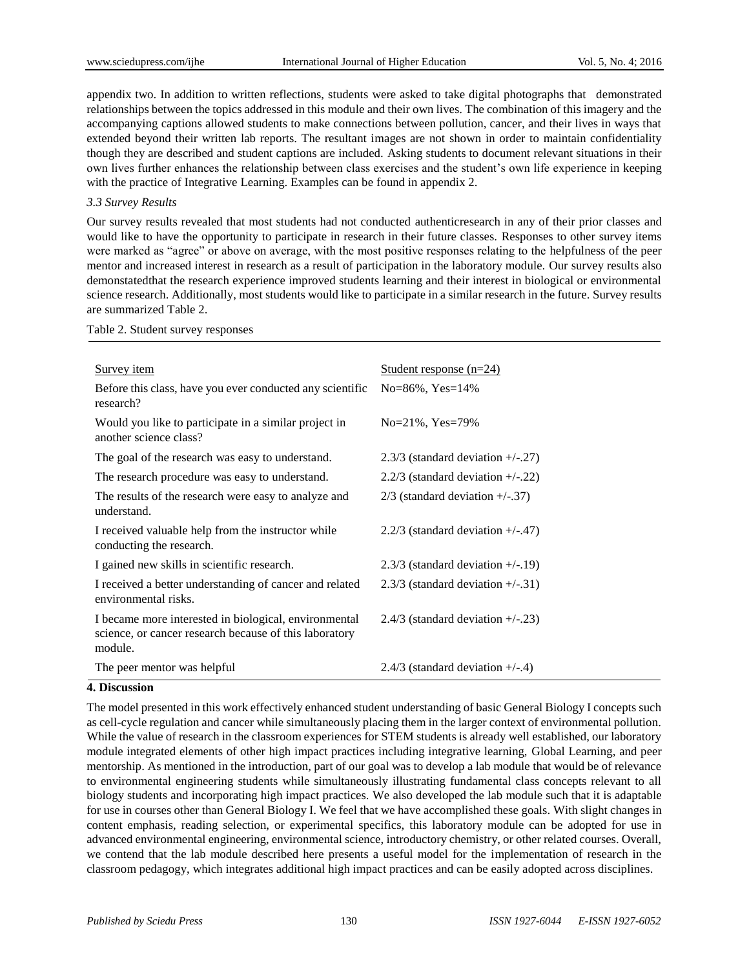appendix two. In addition to written reflections, students were asked to take digital photographs that demonstrated relationships between the topics addressed in this module and their own lives. The combination of this imagery and the accompanying captions allowed students to make connections between pollution, cancer, and their lives in ways that extended beyond their written lab reports. The resultant images are not shown in order to maintain confidentiality though they are described and student captions are included. Asking students to document relevant situations in their own lives further enhances the relationship between class exercises and the student's own life experience in keeping with the practice of Integrative Learning. Examples can be found in appendix 2.

#### *3.3 Survey Results*

Our survey results revealed that most students had not conducted authenticresearch in any of their prior classes and would like to have the opportunity to participate in research in their future classes. Responses to other survey items were marked as "agree" or above on average, with the most positive responses relating to the helpfulness of the peer mentor and increased interest in research as a result of participation in the laboratory module. Our survey results also demonstatedthat the research experience improved students learning and their interest in biological or environmental science research. Additionally, most students would like to participate in a similar research in the future. Survey results are summarized Table 2.

#### Table 2. Student survey responses

| Survey item                                                                                                                | <u>Student response (n=24)</u>        |
|----------------------------------------------------------------------------------------------------------------------------|---------------------------------------|
| Before this class, have you ever conducted any scientific<br>research?                                                     | $No = 86\%$ , $Yes = 14\%$            |
| Would you like to participate in a similar project in<br>another science class?                                            | $No=21\%$ , $Yes=79\%$                |
| The goal of the research was easy to understand.                                                                           | $2.3/3$ (standard deviation $+/-27$ ) |
| The research procedure was easy to understand.                                                                             | $2.2/3$ (standard deviation $+/-22$ ) |
| The results of the research were easy to analyze and<br>understand.                                                        | $2/3$ (standard deviation $+/-37$ )   |
| I received valuable help from the instructor while<br>conducting the research.                                             | 2.2/3 (standard deviation $+/-47$ )   |
| I gained new skills in scientific research.                                                                                | $2.3/3$ (standard deviation $+/-19$ ) |
| I received a better understanding of cancer and related<br>environmental risks.                                            | $2.3/3$ (standard deviation $+/-31$ ) |
| I became more interested in biological, environmental<br>science, or cancer research because of this laboratory<br>module. | $2.4/3$ (standard deviation $+/-23$ ) |
| The peer mentor was helpful                                                                                                | 2.4/3 (standard deviation $+/-$ .4)   |

#### **4. Discussion**

The model presented in this work effectively enhanced student understanding of basic General Biology I concepts such as cell-cycle regulation and cancer while simultaneously placing them in the larger context of environmental pollution. While the value of research in the classroom experiences for STEM students is already well established, our laboratory module integrated elements of other high impact practices including integrative learning, Global Learning, and peer mentorship. As mentioned in the introduction, part of our goal was to develop a lab module that would be of relevance to environmental engineering students while simultaneously illustrating fundamental class concepts relevant to all biology students and incorporating high impact practices. We also developed the lab module such that it is adaptable for use in courses other than General Biology I. We feel that we have accomplished these goals. With slight changes in content emphasis, reading selection, or experimental specifics, this laboratory module can be adopted for use in advanced environmental engineering, environmental science, introductory chemistry, or other related courses. Overall, we contend that the lab module described here presents a useful model for the implementation of research in the classroom pedagogy, which integrates additional high impact practices and can be easily adopted across disciplines.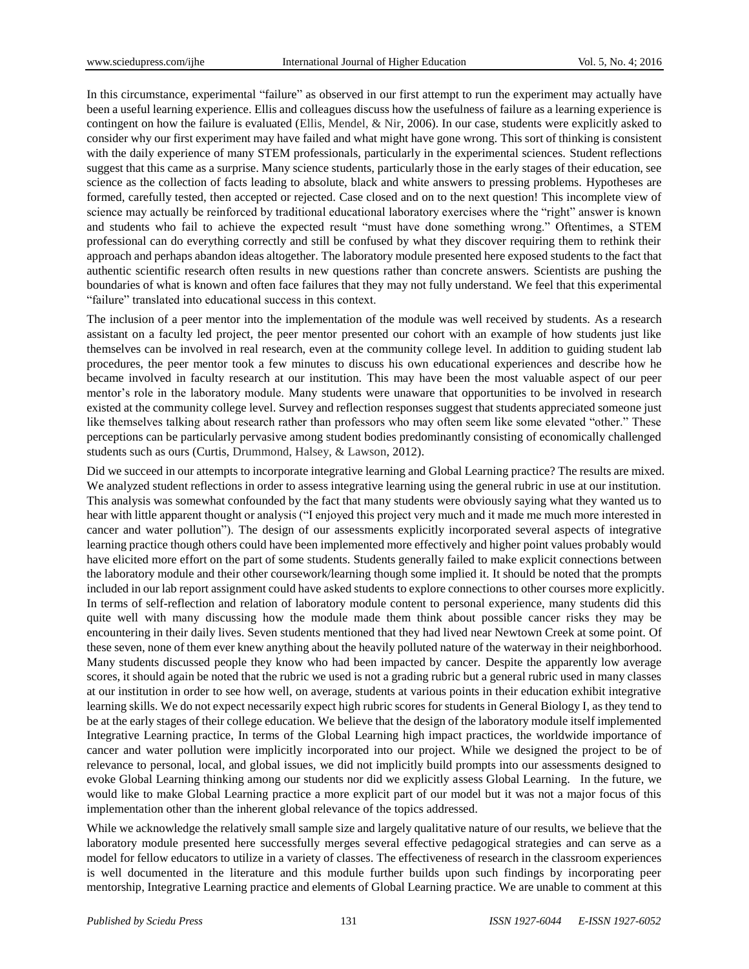In this circumstance, experimental "failure" as observed in our first attempt to run the experiment may actually have been a useful learning experience. Ellis and colleagues discuss how the usefulness of failure as a learning experience is contingent on how the failure is evaluated (Ellis, Mendel, & Nir, 2006). In our case, students were explicitly asked to consider why our first experiment may have failed and what might have gone wrong. This sort of thinking is consistent with the daily experience of many STEM professionals, particularly in the experimental sciences. Student reflections suggest that this came as a surprise. Many science students, particularly those in the early stages of their education, see science as the collection of facts leading to absolute, black and white answers to pressing problems. Hypotheses are formed, carefully tested, then accepted or rejected. Case closed and on to the next question! This incomplete view of science may actually be reinforced by traditional educational laboratory exercises where the "right" answer is known and students who fail to achieve the expected result "must have done something wrong." Oftentimes, a STEM professional can do everything correctly and still be confused by what they discover requiring them to rethink their approach and perhaps abandon ideas altogether. The laboratory module presented here exposed students to the fact that authentic scientific research often results in new questions rather than concrete answers. Scientists are pushing the boundaries of what is known and often face failures that they may not fully understand. We feel that this experimental "failure" translated into educational success in this context.

The inclusion of a peer mentor into the implementation of the module was well received by students. As a research assistant on a faculty led project, the peer mentor presented our cohort with an example of how students just like themselves can be involved in real research, even at the community college level. In addition to guiding student lab procedures, the peer mentor took a few minutes to discuss his own educational experiences and describe how he became involved in faculty research at our institution. This may have been the most valuable aspect of our peer mentor's role in the laboratory module. Many students were unaware that opportunities to be involved in research existed at the community college level. Survey and reflection responses suggest that students appreciated someone just like themselves talking about research rather than professors who may often seem like some elevated "other." These perceptions can be particularly pervasive among student bodies predominantly consisting of economically challenged students such as ours (Curtis, Drummond, Halsey, & Lawson, 2012).

Did we succeed in our attempts to incorporate integrative learning and Global Learning practice? The results are mixed. We analyzed student reflections in order to assess integrative learning using the general rubric in use at our institution. This analysis was somewhat confounded by the fact that many students were obviously saying what they wanted us to hear with little apparent thought or analysis ("I enjoyed this project very much and it made me much more interested in cancer and water pollution"). The design of our assessments explicitly incorporated several aspects of integrative learning practice though others could have been implemented more effectively and higher point values probably would have elicited more effort on the part of some students. Students generally failed to make explicit connections between the laboratory module and their other coursework/learning though some implied it. It should be noted that the prompts included in our lab report assignment could have asked students to explore connections to other courses more explicitly. In terms of self-reflection and relation of laboratory module content to personal experience, many students did this quite well with many discussing how the module made them think about possible cancer risks they may be encountering in their daily lives. Seven students mentioned that they had lived near Newtown Creek at some point. Of these seven, none of them ever knew anything about the heavily polluted nature of the waterway in their neighborhood. Many students discussed people they know who had been impacted by cancer. Despite the apparently low average scores, it should again be noted that the rubric we used is not a grading rubric but a general rubric used in many classes at our institution in order to see how well, on average, students at various points in their education exhibit integrative learning skills. We do not expect necessarily expect high rubric scores for students in General Biology I, as they tend to be at the early stages of their college education. We believe that the design of the laboratory module itself implemented Integrative Learning practice, In terms of the Global Learning high impact practices, the worldwide importance of cancer and water pollution were implicitly incorporated into our project. While we designed the project to be of relevance to personal, local, and global issues, we did not implicitly build prompts into our assessments designed to evoke Global Learning thinking among our students nor did we explicitly assess Global Learning. In the future, we would like to make Global Learning practice a more explicit part of our model but it was not a major focus of this implementation other than the inherent global relevance of the topics addressed.

While we acknowledge the relatively small sample size and largely qualitative nature of our results, we believe that the laboratory module presented here successfully merges several effective pedagogical strategies and can serve as a model for fellow educators to utilize in a variety of classes. The effectiveness of research in the classroom experiences is well documented in the literature and this module further builds upon such findings by incorporating peer mentorship, Integrative Learning practice and elements of Global Learning practice. We are unable to comment at this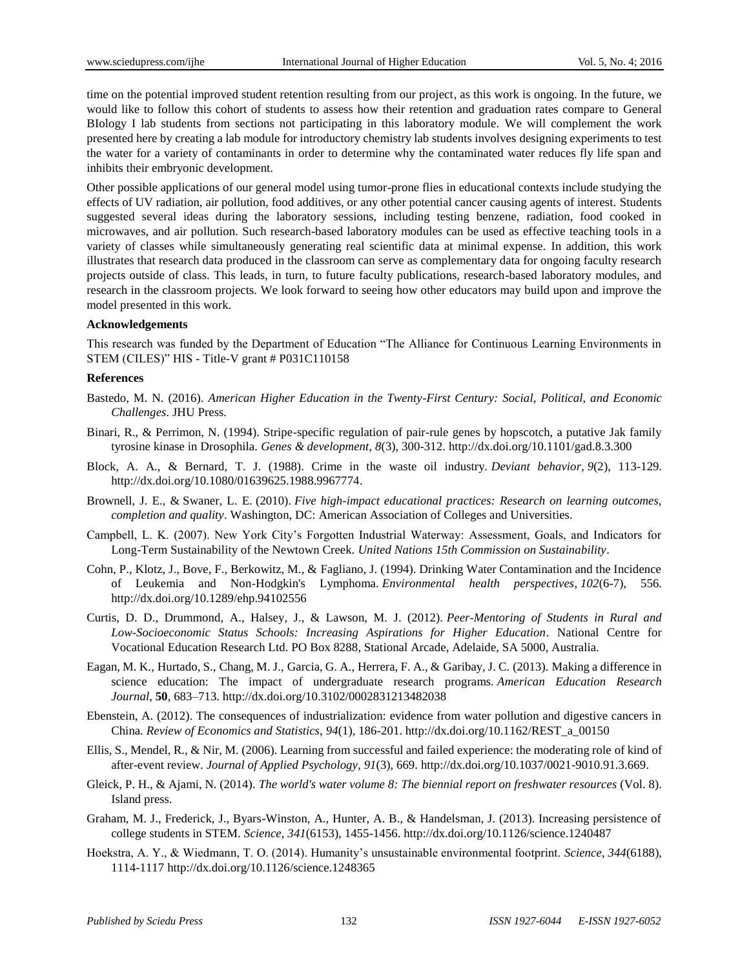time on the potential improved student retention resulting from our project, as this work is ongoing. In the future, we would like to follow this cohort of students to assess how their retention and graduation rates compare to General BIology I lab students from sections not participating in this laboratory module. We will complement the work presented here by creating a lab module for introductory chemistry lab students involves designing experiments to test the water for a variety of contaminants in order to determine why the contaminated water reduces fly life span and inhibits their embryonic development.

Other possible applications of our general model using tumor-prone flies in educational contexts include studying the effects of UV radiation, air pollution, food additives, or any other potential cancer causing agents of interest. Students suggested several ideas during the laboratory sessions, including testing benzene, radiation, food cooked in microwaves, and air pollution. Such research-based laboratory modules can be used as effective teaching tools in a variety of classes while simultaneously generating real scientific data at minimal expense. In addition, this work illustrates that research data produced in the classroom can serve as complementary data for ongoing faculty research projects outside of class. This leads, in turn, to future faculty publications, research-based laboratory modules, and research in the classroom projects. We look forward to seeing how other educators may build upon and improve the model presented in this work.

#### **Acknowledgements**

This research was funded by the Department of Education "The Alliance for Continuous Learning Environments in STEM (CILES)" HIS - Title-V grant # P031C110158

#### **References**

- Bastedo, M. N. (2016). *American Higher Education in the Twenty-First Century: Social, Political, and Economic Challenges*. JHU Press.
- Binari, R., & Perrimon, N. (1994). Stripe-specific regulation of pair-rule genes by hopscotch, a putative Jak family tyrosine kinase in Drosophila. *Genes & development*, *8*(3), 300-312. <http://dx.doi.org/10.1101/gad.8.3.300>
- Block, A. A., & Bernard, T. J. (1988). Crime in the waste oil industry. *Deviant behavior*, *9*(2), 113-129. http://dx.doi.org[/10.1080/01639625.1988.9967774.](http://dx.doi.org/10.1080/01639625.1988.9967774)
- Brownell, J. E., & Swaner, L. E. (2010). *Five high-impact educational practices: Research on learning outcomes, completion and quality*. Washington, DC: American Association of Colleges and Universities.
- Campbell, L. K. (2007). New York City's Forgotten Industrial Waterway: Assessment, Goals, and Indicators for Long-Term Sustainability of the Newtown Creek. *United Nations 15th Commission on Sustainability*.
- Cohn, P., Klotz, J., Bove, F., Berkowitz, M., & Fagliano, J. (1994). Drinking Water Contamination and the Incidence of Leukemia and Non-Hodgkin's Lymphoma. *Environmental health perspectives*, 102(6-7), <http://dx.doi.org/10.1289/ehp.94102556>
- Curtis, D. D., Drummond, A., Halsey, J., & Lawson, M. J. (2012). *Peer-Mentoring of Students in Rural and Low-Socioeconomic Status Schools: Increasing Aspirations for Higher Education*. National Centre for Vocational Education Research Ltd. PO Box 8288, Stational Arcade, Adelaide, SA 5000, Australia.
- Eagan, M. K., Hurtado, S., Chang, M. J., Garcia, G. A., Herrera, F. A., & Garibay, J. C. (2013). Making a difference in science education: The impact of undergraduate research programs. *American Education Research Journal*, **50**, 683–713. <http://dx.doi.org/10.3102/0002831213482038>
- Ebenstein, A. (2012). The consequences of industrialization: evidence from water pollution and digestive cancers in China. *Review of Economics and Statistics*, *94*(1), 186-201. [http://dx.doi.org/10.1162/REST\\_a\\_00150](http://dx.doi.org/10.1162/REST_a_00150)
- Ellis, S., Mendel, R., & Nir, M. (2006). Learning from successful and failed experience: the moderating role of kind of after-event review. *Journal of Applied Psychology*, *91*(3), 669. [http://dx.doi.org/10.1037/0021-9010.91.3.669.](http://psycnet.apa.org/doi/10.1037/0021-9010.91.3.669)
- Gleick, P. H., & Ajami, N. (2014). *The world's water volume 8: The biennial report on freshwater resources* (Vol. 8). Island press.
- Graham, M. J., Frederick, J., Byars-Winston, A., Hunter, A. B., & Handelsman, J. (2013). Increasing persistence of college students in STEM. *Science*, *341*(6153), 1455-1456. <http://dx.doi.org/10.1126/science.1240487>
- Hoekstra, A. Y., & Wiedmann, T. O. (2014). Humanity's unsustainable environmental footprint. *Science*, *344*(6188), 1114-1117 <http://dx.doi.org/10.1126/science.1248365>